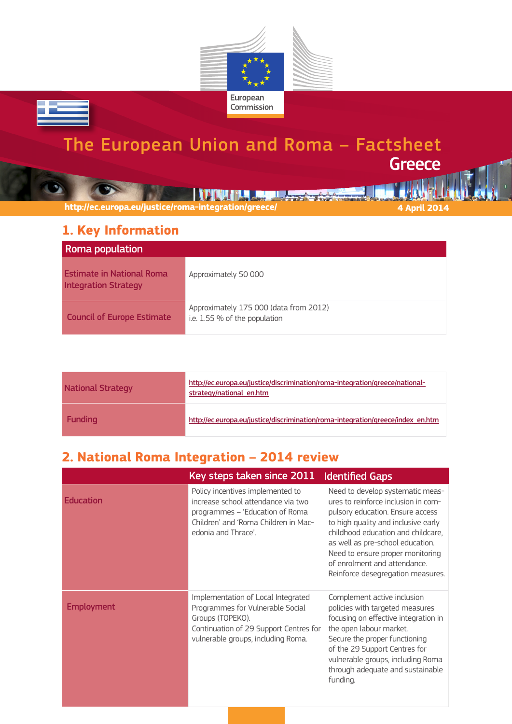

# The European Union and Roma – Factsheet **Greece**

**http://ec.europa.eu/justice/roma-integration/greece/ 4 April 2014**

#### **1. Key Information**

ᄙ

| Roma population                                                 |                                                                         |
|-----------------------------------------------------------------|-------------------------------------------------------------------------|
| <b>Estimate in National Roma</b><br><b>Integration Strategy</b> | Approximately 50 000                                                    |
| <b>Council of Europe Estimate</b>                               | Approximately 175 000 (data from 2012)<br>i.e. 1.55 % of the population |

**THEFT REPLACEMENT IN STATISTICS** 

| <b>National Strategy</b> | http://ec.europa.eu/justice/discrimination/roma-integration/greece/national-<br>strategy/national en.htm |
|--------------------------|----------------------------------------------------------------------------------------------------------|
| <b>Funding</b>           | http://ec.europa.eu/justice/discrimination/roma-integration/greece/index en.htm                          |

## **2. National Roma Integration – 2014 review**

|                   | Key steps taken since 2011                                                                                                                                                 | <b>Identified Gaps</b>                                                                                                                                                                                                                                                                                                                |
|-------------------|----------------------------------------------------------------------------------------------------------------------------------------------------------------------------|---------------------------------------------------------------------------------------------------------------------------------------------------------------------------------------------------------------------------------------------------------------------------------------------------------------------------------------|
| <b>Education</b>  | Policy incentives implemented to<br>increase school attendance via two<br>programmes - 'Education of Roma<br>Children' and 'Roma Children in Mac-<br>edonia and Thrace'.   | Need to develop systematic meas-<br>ures to reinforce inclusion in com-<br>pulsory education. Ensure access<br>to high quality and inclusive early<br>childhood education and childcare,<br>as well as pre-school education.<br>Need to ensure proper monitoring<br>of enrolment and attendance.<br>Reinforce desegregation measures. |
| <b>Employment</b> | Implementation of Local Integrated<br>Programmes for Vulnerable Social<br>Groups (TOPEKO).<br>Continuation of 29 Support Centres for<br>vulnerable groups, including Roma. | Complement active inclusion<br>policies with targeted measures<br>focusing on effective integration in<br>the open labour market.<br>Secure the proper functioning<br>of the 29 Support Centres for<br>vulnerable groups, including Roma<br>through adequate and sustainable<br>funding.                                              |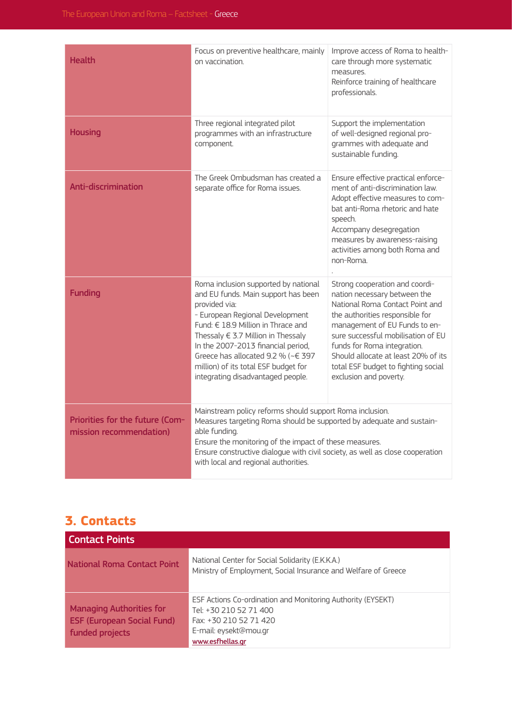| <b>Health</b>                                              | Focus on preventive healthcare, mainly<br>on vaccination.                                                                                                                                                                                                                                                                                                                         | Improve access of Roma to health-<br>care through more systematic<br>measures.<br>Reinforce training of healthcare<br>professionals.                                                                                                                                                                                                               |
|------------------------------------------------------------|-----------------------------------------------------------------------------------------------------------------------------------------------------------------------------------------------------------------------------------------------------------------------------------------------------------------------------------------------------------------------------------|----------------------------------------------------------------------------------------------------------------------------------------------------------------------------------------------------------------------------------------------------------------------------------------------------------------------------------------------------|
| <b>Housing</b>                                             | Three regional integrated pilot<br>programmes with an infrastructure<br>component.                                                                                                                                                                                                                                                                                                | Support the implementation<br>of well-designed regional pro-<br>grammes with adequate and<br>sustainable funding.                                                                                                                                                                                                                                  |
| <b>Anti-discrimination</b>                                 | The Greek Ombudsman has created a<br>separate office for Roma issues.                                                                                                                                                                                                                                                                                                             | Ensure effective practical enforce-<br>ment of anti-discrimination law.<br>Adopt effective measures to com-<br>bat anti-Roma rhetoric and hate<br>speech.<br>Accompany desegregation<br>measures by awareness-raising<br>activities among both Roma and<br>non-Roma.                                                                               |
| <b>Funding</b>                                             | Roma inclusion supported by national<br>and EU funds. Main support has been<br>provided via:<br>- European Regional Development<br>Fund: € 18.9 Million in Thrace and<br>Thessaly $\in$ 3.7 Million in Thessaly<br>In the 2007-2013 financial period,<br>Greece has allocated 9.2 % ( $\sim \in 397$<br>million) of its total ESF budget for<br>integrating disadvantaged people. | Strong cooperation and coordi-<br>nation necessary between the<br>National Roma Contact Point and<br>the authorities responsible for<br>management of EU Funds to en-<br>sure successful mobilisation of EU<br>funds for Roma integration.<br>Should allocate at least 20% of its<br>total ESF budget to fighting social<br>exclusion and poverty. |
| Priorities for the future (Com-<br>mission recommendation) | Mainstream policy reforms should support Roma inclusion.<br>Measures targeting Roma should be supported by adequate and sustain-<br>able funding.<br>Ensure the monitoring of the impact of these measures.<br>Ensure constructive dialogue with civil society, as well as close cooperation<br>with local and regional authorities.                                              |                                                                                                                                                                                                                                                                                                                                                    |

### **3. Contacts**

| <b>Contact Points</b>                                                                   |                                                                                                                                                              |
|-----------------------------------------------------------------------------------------|--------------------------------------------------------------------------------------------------------------------------------------------------------------|
| <b>National Roma Contact Point</b>                                                      | National Center for Social Solidarity (E.K.K.A.)<br>Ministry of Employment, Social Insurance and Welfare of Greece                                           |
| <b>Managing Authorities for</b><br><b>ESF (European Social Fund)</b><br>funded projects | ESF Actions Co-ordination and Monitoring Authority (EYSEKT)<br>Tel: +30 210 52 71 400<br>Fax: +30 210 52 71 420<br>E-mail: eysekt@mou.gr<br>www.esfhellas.gr |